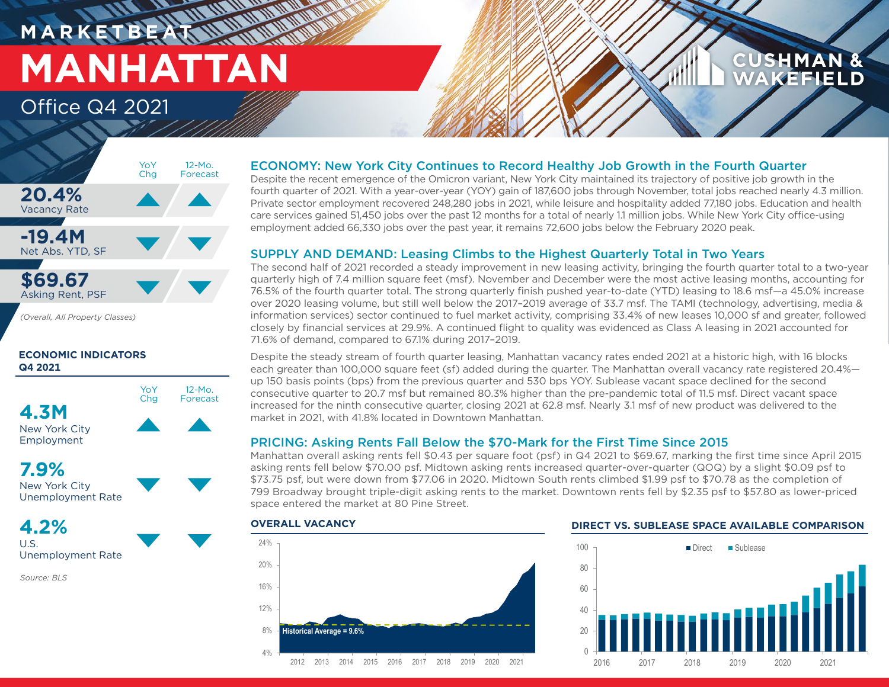### **M A R K E T B E AT MANHATTAN** Office Q4 2021

### **CUSHMAN & AKEFIELD**



12-Mo. Forecast

*(Overall, All Property Classes)*

#### **ECONOMIC INDICATORS Q4 2021**



**7.9%**

New York City Unemployment Rate

**4.2%** U.S.

Unemployment Rate

*Source: BLS*

#### ECONOMY: New York City Continues to Record Healthy Job Growth in the Fourth Quarter

Despite the recent emergence of the Omicron variant, New York City maintained its trajectory of positive job growth in the fourth quarter of 2021. With a year-over-year (YOY) gain of 187,600 jobs through November, total jobs reached nearly 4.3 million. Private sector employment recovered 248,280 jobs in 2021, while leisure and hospitality added 77,180 jobs. Education and health care services gained 51,450 jobs over the past 12 months for a total of nearly 1.1 million jobs. While New York City office-using employment added 66,330 jobs over the past year, it remains 72,600 jobs below the February 2020 peak.

#### SUPPLY AND DEMAND: Leasing Climbs to the Highest Quarterly Total in Two Years

The second half of 2021 recorded a steady improvement in new leasing activity, bringing the fourth quarter total to a two-year quarterly high of 7.4 million square feet (msf). November and December were the most active leasing months, accounting for 76.5% of the fourth quarter total. The strong quarterly finish pushed year-to-date (YTD) leasing to 18.6 msf—a 45.0% increase over 2020 leasing volume, but still well below the 2017–2019 average of 33.7 msf. The TAMI (technology, advertising, media & information services) sector continued to fuel market activity, comprising 33.4% of new leases 10,000 sf and greater, followed closely by financial services at 29.9%. A continued flight to quality was evidenced as Class A leasing in 2021 accounted for 71.6% of demand, compared to 67.1% during 2017–2019.

Despite the steady stream of fourth quarter leasing, Manhattan vacancy rates ended 2021 at a historic high, with 16 blocks each greater than 100,000 square feet (sf) added during the quarter. The Manhattan overall vacancy rate registered 20.4% up 150 basis points (bps) from the previous quarter and 530 bps YOY. Sublease vacant space declined for the second consecutive quarter to 20.7 msf but remained 80.3% higher than the pre-pandemic total of 11.5 msf. Direct vacant space increased for the ninth consecutive quarter, closing 2021 at 62.8 msf. Nearly 3.1 msf of new product was delivered to the market in 2021, with 41.8% located in Downtown Manhattan.

#### PRICING: Asking Rents Fall Below the \$70-Mark for the First Time Since 2015

Manhattan overall asking rents fell \$0.43 per square foot (psf) in Q4 2021 to \$69.67, marking the first time since April 2015 asking rents fell below \$70.00 psf. Midtown asking rents increased quarter-over-quarter (QOQ) by a slight \$0.09 psf to \$73.75 psf, but were down from \$77.06 in 2020. Midtown South rents climbed \$1.99 psf to \$70.78 as the completion of 799 Broadway brought triple-digit asking rents to the market. Downtown rents fell by \$2.35 psf to \$57.80 as lower-priced space entered the market at 80 Pine Street.

#### 4% 8% 12% 16% 20% 24% 2012 2013 2014 2015 2016 2017 2018 2019 2020 2021 **Historical Average = 9.6%**

#### **OVERALL VACANCY DIRECT VS. SUBLEASE SPACE AVAILABLE COMPARISON**

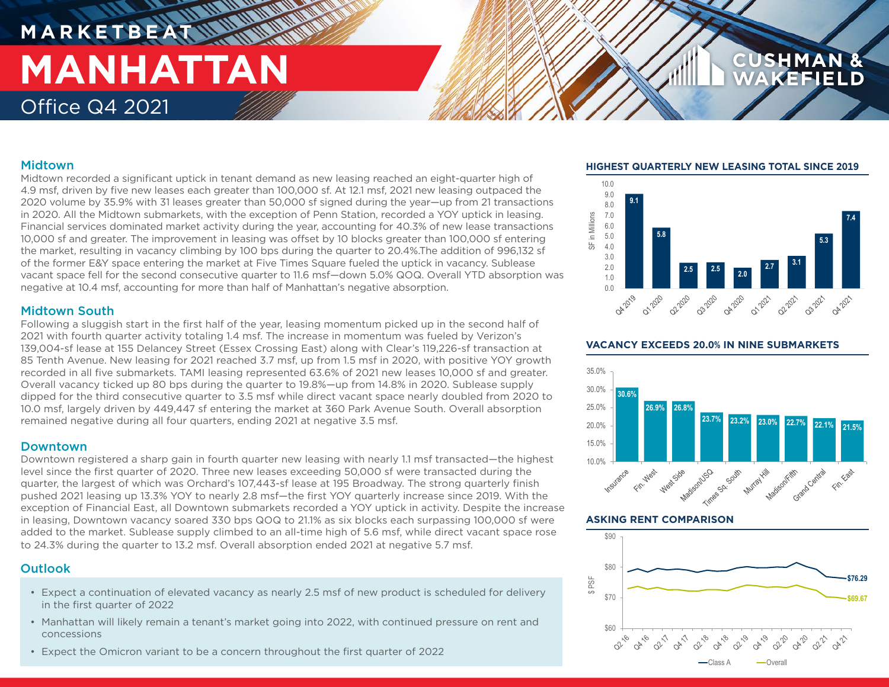### **M A R K E T B E AT MANHATTAN** Office Q4 2021

#### Midtown

Midtown recorded a significant uptick in tenant demand as new leasing reached an eight-quarter high of 4.9 msf, driven by five new leases each greater than 100,000 sf. At 12.1 msf, 2021 new leasing outpaced the 2020 volume by 35.9% with 31 leases greater than 50,000 sf signed during the year—up from 21 transactions in 2020. All the Midtown submarkets, with the exception of Penn Station, recorded a YOY uptick in leasing. Financial services dominated market activity during the year, accounting for 40.3% of new lease transactions 10,000 sf and greater. The improvement in leasing was offset by 10 blocks greater than 100,000 sf entering the market, resulting in vacancy climbing by 100 bps during the quarter to 20.4%.The addition of 996,132 sf of the former E&Y space entering the market at Five Times Square fueled the uptick in vacancy. Sublease vacant space fell for the second consecutive quarter to 11.6 msf—down 5.0% QOQ. Overall YTD absorption was negative at 10.4 msf, accounting for more than half of Manhattan's negative absorption.

#### Midtown South

Following a sluggish start in the first half of the year, leasing momentum picked up in the second half of 2021 with fourth quarter activity totaling 1.4 msf. The increase in momentum was fueled by Verizon's 139,004-sf lease at 155 Delancey Street (Essex Crossing East) along with Clear's 119,226-sf transaction at 85 Tenth Avenue. New leasing for 2021 reached 3.7 msf, up from 1.5 msf in 2020, with positive YOY growth recorded in all five submarkets. TAMI leasing represented 63.6% of 2021 new leases 10,000 sf and greater. Overall vacancy ticked up 80 bps during the quarter to 19.8%—up from 14.8% in 2020. Sublease supply dipped for the third consecutive quarter to 3.5 msf while direct vacant space nearly doubled from 2020 to 10.0 msf, largely driven by 449,447 sf entering the market at 360 Park Avenue South. Overall absorption remained negative during all four quarters, ending 2021 at negative 3.5 msf.

#### Downtown

Downtown registered a sharp gain in fourth quarter new leasing with nearly 1.1 msf transacted—the highest level since the first quarter of 2020. Three new leases exceeding 50,000 sf were transacted during the quarter, the largest of which was Orchard's 107,443-sf lease at 195 Broadway. The strong quarterly finish pushed 2021 leasing up 13.3% YOY to nearly 2.8 msf—the first YOY quarterly increase since 2019. With the exception of Financial East, all Downtown submarkets recorded a YOY uptick in activity. Despite the increase in leasing, Downtown vacancy soared 330 bps QOQ to 21.1% as six blocks each surpassing 100,000 sf were added to the market. Sublease supply climbed to an all-time high of 5.6 msf, while direct vacant space rose to 24.3% during the quarter to 13.2 msf. Overall absorption ended 2021 at negative 5.7 msf.

#### **Outlook**

- Expect a continuation of elevated vacancy as nearly 2.5 msf of new product is scheduled for delivery in the first quarter of 2022
- Manhattan will likely remain a tenant's market going into 2022, with continued pressure on rent and concessions
- Expect the Omicron variant to be a concern throughout the first quarter of 2022

#### **HIGHEST QUARTERLY NEW LEASING TOTAL SINCE 2019**

**CUSHMAN** 



#### **VACANCY EXCEEDS 20.0% IN NINE SUBMARKETS**



#### **ASKING RENT COMPARISON**

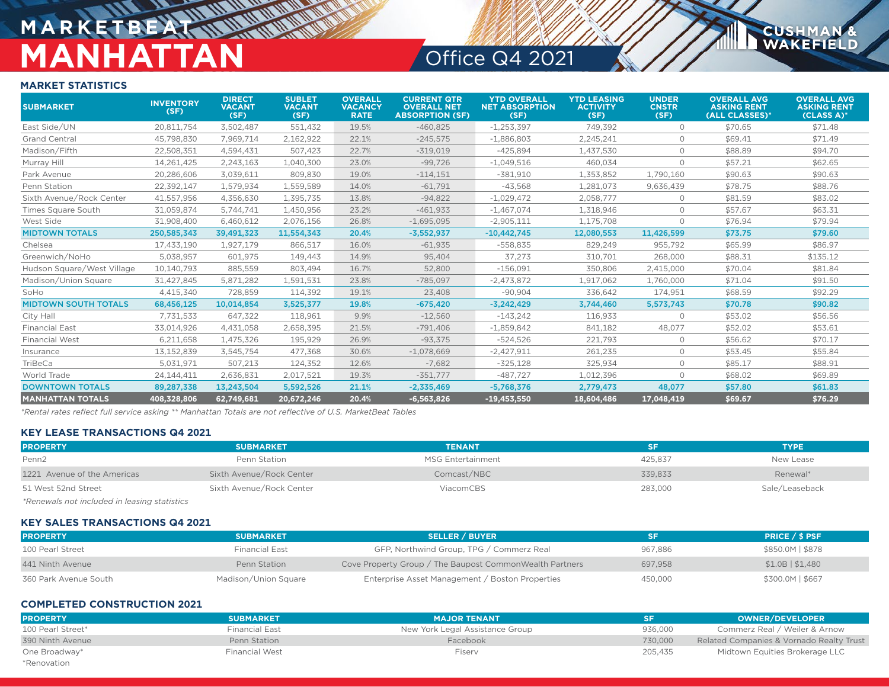## **MARKETBEA** MANHATTAN Office Q4 2021

**CUSHMAN &**<br>WAKEFIELD

#### **MARKET STATISTICS**

| <b>SUBMARKET</b>            | <b>INVENTORY</b><br>(SF) | <b>DIRECT</b><br><b>VACANT</b><br>(SF) | <b>SUBLET</b><br><b>VACANT</b><br>(SF) | <b>OVERALL</b><br><b>VACANCY</b><br><b>RATE</b> | <b>CURRENT QTR</b><br><b>OVERALL NET</b><br><b>ABSORPTION (SF)</b> | <b>YTD OVERALL</b><br><b>NET ABSORPTION</b><br>(SF) | <b>YTD LEASING</b><br><b>ACTIVITY</b><br>(SF) | <b>UNDER</b><br><b>CNSTR</b><br>(SF) | <b>OVERALL AVG</b><br><b>ASKING RENT</b><br>(ALL CLASSES)* | <b>OVERALL AVG</b><br><b>ASKING RENT</b><br>(CLASS A)* |
|-----------------------------|--------------------------|----------------------------------------|----------------------------------------|-------------------------------------------------|--------------------------------------------------------------------|-----------------------------------------------------|-----------------------------------------------|--------------------------------------|------------------------------------------------------------|--------------------------------------------------------|
| East Side/UN                | 20.811.754               | 3,502,487                              | 551,432                                | 19.5%                                           | $-460,825$                                                         | $-1,253,397$                                        | 749,392                                       | $\circ$                              | \$70.65                                                    | \$71.48                                                |
| <b>Grand Central</b>        | 45.798.830               | 7.969.714                              | 2,162,922                              | 22.1%                                           | $-245,575$                                                         | $-1,886,803$                                        | 2.245.241                                     | 0                                    | \$69.41                                                    | \$71.49                                                |
| Madison/Fifth               | 22,508,351               | 4,594,431                              | 507,423                                | 22.7%                                           | $-319,019$                                                         | $-425,894$                                          | 1,437,530                                     | $\Omega$                             | \$88.89                                                    | \$94.70                                                |
| Murray Hill                 | 14.261.425               | 2.243.163                              | 1.040.300                              | 23.0%                                           | $-99,726$                                                          | $-1.049.516$                                        | 460.034                                       | $\circ$                              | \$57.21                                                    | \$62.65                                                |
| Park Avenue                 | 20,286,606               | 3,039,611                              | 809,830                                | 19.0%                                           | $-114,151$                                                         | $-381,910$                                          | 1,353,852                                     | 1,790,160                            | \$90.63                                                    | \$90.63                                                |
| Penn Station                | 22,392,147               | 1,579,934                              | 1,559,589                              | 14.0%                                           | $-61,791$                                                          | $-43,568$                                           | 1,281,073                                     | 9,636,439                            | \$78.75                                                    | \$88.76                                                |
| Sixth Avenue/Rock Center    | 41,557,956               | 4,356,630                              | 1,395,735                              | 13.8%                                           | $-94,822$                                                          | $-1,029,472$                                        | 2,058,777                                     | $\circ$                              | \$81.59                                                    | \$83.02                                                |
| Times Square South          | 31,059,874               | 5,744,741                              | 1,450,956                              | 23.2%                                           | $-461,933$                                                         | $-1,467,074$                                        | 1,318,946                                     | $\circ$                              | \$57.67                                                    | \$63.31                                                |
| West Side                   | 31,908,400               | 6,460,612                              | 2,076,156                              | 26.8%                                           | $-1,695,095$                                                       | $-2,905,111$                                        | 1,175,708                                     | $\circ$                              | \$76.94                                                    | \$79.94                                                |
| <b>MIDTOWN TOTALS</b>       | 250,585,343              | 39,491,323                             | 11,554,343                             | 20.4%                                           | $-3,552,937$                                                       | $-10,442,745$                                       | 12,080,553                                    | 11,426,599                           | \$73.75                                                    | \$79.60                                                |
| Chelsea                     | 17.433.190               | 1.927.179                              | 866,517                                | 16.0%                                           | $-61,935$                                                          | $-558,835$                                          | 829.249                                       | 955,792                              | \$65.99                                                    | \$86.97                                                |
| Greenwich/NoHo              | 5.038.957                | 601.975                                | 149.443                                | 14.9%                                           | 95.404                                                             | 37.273                                              | 310,701                                       | 268,000                              | \$88.31                                                    | \$135.12                                               |
| Hudson Square/West Village  | 10,140,793               | 885,559                                | 803,494                                | 16.7%                                           | 52,800                                                             | $-156,091$                                          | 350,806                                       | 2,415,000                            | \$70.04                                                    | \$81.84                                                |
| Madison/Union Square        | 31.427.845               | 5.871.282                              | 1.591.531                              | 23.8%                                           | $-785.097$                                                         | $-2.473.872$                                        | 1.917.062                                     | 1.760.000                            | \$71.04                                                    | \$91.50                                                |
| SoHo                        | 4,415,340                | 728,859                                | 114,392                                | 19.1%                                           | 23,408                                                             | $-90,904$                                           | 336,642                                       | 174,951                              | \$68.59                                                    | \$92.29                                                |
| <b>MIDTOWN SOUTH TOTALS</b> | 68,456,125               | 10,014,854                             | 3,525,377                              | 19.8%                                           | $-675,420$                                                         | $-3,242,429$                                        | 3,744,460                                     | 5,573,743                            | \$70.78                                                    | \$90.82                                                |
| City Hall                   | 7,731,533                | 647,322                                | 118,961                                | 9.9%                                            | $-12,560$                                                          | $-143,242$                                          | 116,933                                       | $\circ$                              | \$53.02                                                    | \$56.56                                                |
| <b>Financial East</b>       | 33,014,926               | 4,431,058                              | 2,658,395                              | 21.5%                                           | $-791,406$                                                         | $-1,859,842$                                        | 841,182                                       | 48,077                               | \$52.02                                                    | \$53.61                                                |
| <b>Financial West</b>       | 6,211,658                | 1,475,326                              | 195,929                                | 26.9%                                           | $-93,375$                                                          | $-524,526$                                          | 221,793                                       | $\circ$                              | \$56.62                                                    | \$70.17                                                |
| Insurance                   | 13,152,839               | 3,545,754                              | 477,368                                | 30.6%                                           | $-1,078,669$                                                       | $-2.427.911$                                        | 261,235                                       | $\circ$                              | \$53.45                                                    | \$55.84                                                |
| TriBeCa                     | 5,031,971                | 507,213                                | 124,352                                | 12.6%                                           | $-7,682$                                                           | $-325,128$                                          | 325,934                                       | $\circ$                              | \$85.17                                                    | \$88.91                                                |
| World Trade                 | 24,144,411               | 2,636,831                              | 2,017,521                              | 19.3%                                           | $-351,777$                                                         | $-487,727$                                          | 1,012,396                                     | $\circ$                              | \$68.02                                                    | \$69.89                                                |
| <b>DOWNTOWN TOTALS</b>      | 89,287,338               | 13,243,504                             | 5,592,526                              | 21.1%                                           | $-2,335,469$                                                       | $-5,768,376$                                        | 2,779,473                                     | 48,077                               | \$57.80                                                    | \$61.83                                                |
| <b>MANHATTAN TOTALS</b>     | 408,328,806              | 62,749,681                             | 20,672,246                             | 20.4%                                           | $-6,563,826$                                                       | $-19,453,550$                                       | 18,604,486                                    | 17,048,419                           | \$69.67                                                    | \$76.29                                                |

*\*Rental rates reflect full service asking \*\* Manhattan Totals are not reflective of U.S. MarketBeat Tables*

#### **KEY LEASE TRANSACTIONS Q4 2021**

| <b>PROPERTY</b>                             | <b>SUBMARKET</b>         | <b>TENANT</b>            | SF      | <b>TYPE</b>    |
|---------------------------------------------|--------------------------|--------------------------|---------|----------------|
| Penn <sub>2</sub>                           | Penn Station             | <b>MSG Entertainment</b> | 425.837 | New Lease      |
| 1221 Avenue of the Americas                 | Sixth Avenue/Rock Center | Comcast/NBC              | 339.833 | Renewal*       |
| 51 West 52nd Street                         | Sixth Avenue/Rock Center | ViacomCBS                | 283,000 | Sale/Leaseback |
| $*Dannuola not included in location of the$ |                          |                          |         |                |

*\*Renewals not included in leasing statistics*

#### **KEY SALES TRANSACTIONS Q4 2021**

| <b>PROPERTY</b>       | <b>SUBMARKET</b>     | <b>SELLER / BUYER</b>                                    | SF      | <b>PRICE / \$ PSF</b> |
|-----------------------|----------------------|----------------------------------------------------------|---------|-----------------------|
| 100 Pearl Street      | Financial East       | GFP, Northwind Group, TPG / Commerz Real                 | 967.886 | \$850.0M   \$878      |
| 441 Ninth Avenue      | Penn Station         | Cove Property Group / The Baupost Common Wealth Partners | 697.958 | $$1.0B$   \$1.480     |
| 360 Park Avenue South | Madison/Union Square | Enterprise Asset Management / Boston Properties          | 450,000 | \$300.0M   \$667      |

#### **COMPLETED CONSTRUCTION 2021**

| <b>PROPERTY</b>   | <b>SUBMARKET</b>      | <b>MAJOR TENANT</b>             |         | <b>OWNER/DEVELOPER</b>                   |
|-------------------|-----------------------|---------------------------------|---------|------------------------------------------|
| 100 Pearl Street* | Financial East        | New York Legal Assistance Group | 936.000 | Commerz Real / Weiler & Arnow            |
| 390 Ninth Avenue  | Penn Station          | Facebook                        | 730,000 | Related Companies & Vornado Realty Trust |
| One Broadway*     | <b>Financial West</b> | Fisery                          | 205.435 | Midtown Equities Brokerage LLC           |
| *Renovation       |                       |                                 |         |                                          |